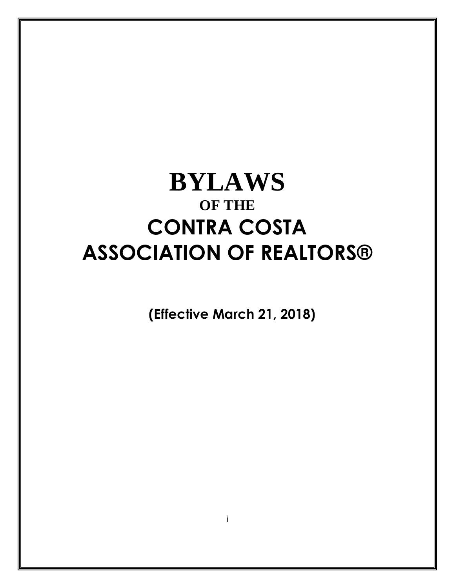# **BYLAWS OF THE CONTRA COSTA ASSOCIATION OF REALTORS®**

**(Effective March 21, 2018)**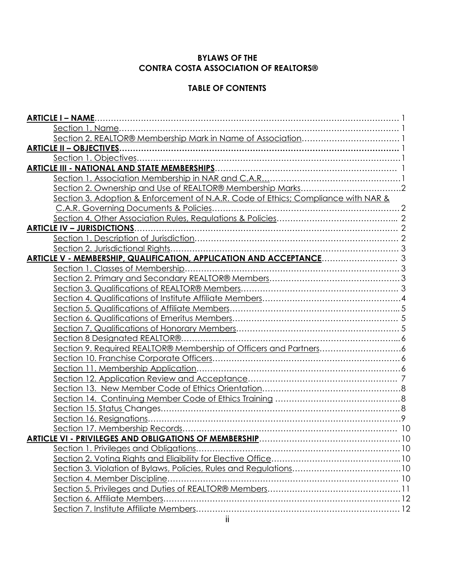# **BYLAWS OF THE CONTRA COSTA ASSOCIATION OF REALTORS®**

# **TABLE OF CONTENTS**

| <b>ARTICLE I - NAME</b>                                                           |  |
|-----------------------------------------------------------------------------------|--|
|                                                                                   |  |
|                                                                                   |  |
| <b>ARTICLE II - OBJECTIVES.</b>                                                   |  |
|                                                                                   |  |
|                                                                                   |  |
|                                                                                   |  |
|                                                                                   |  |
| Section 3. Adoption & Enforcement of N.A.R. Code of Ethics; Compliance with NAR & |  |
| C.A.R. Governing Documents & Policies                                             |  |
|                                                                                   |  |
| <b>ARTICLE IV - JURISDICTIONS</b>                                                 |  |
|                                                                                   |  |
| Section 2. Jurisdictional Rights                                                  |  |
| ARTICLE V - MEMBERSHIP, QUALIFICATION, APPLICATION AND ACCEPTANCE 3               |  |
|                                                                                   |  |
|                                                                                   |  |
|                                                                                   |  |
|                                                                                   |  |
|                                                                                   |  |
|                                                                                   |  |
|                                                                                   |  |
| Section 8 Designated REALTOR®                                                     |  |
| Section 9. Required REALTOR® Membership of Officers and Partners6                 |  |
|                                                                                   |  |
|                                                                                   |  |
|                                                                                   |  |
|                                                                                   |  |
|                                                                                   |  |
|                                                                                   |  |
|                                                                                   |  |
|                                                                                   |  |
|                                                                                   |  |
|                                                                                   |  |
|                                                                                   |  |
|                                                                                   |  |
|                                                                                   |  |
|                                                                                   |  |
|                                                                                   |  |
|                                                                                   |  |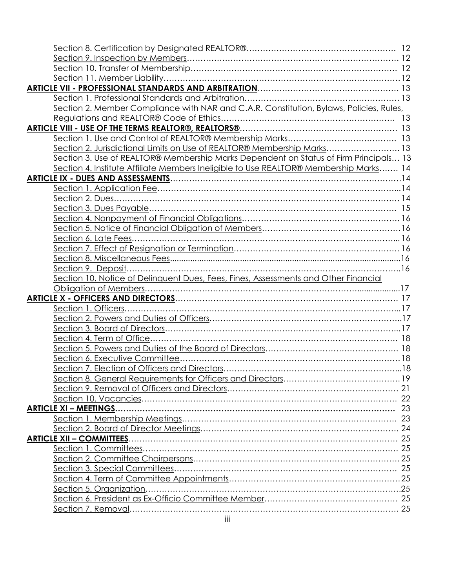| Section 2. Member Compliance with NAR and C.A.R. Constitution, Bylaws, Policies, Rules, |  |
|-----------------------------------------------------------------------------------------|--|
|                                                                                         |  |
|                                                                                         |  |
|                                                                                         |  |
| Section 2. Jurisdictional Limits on Use of REALTOR® Membership Marks 13                 |  |
| Section 3. Use of REALTOR® Membership Marks Dependent on Status of Firm Principals 13   |  |
| Section 4. Institute Affiliate Members Ineligible to Use REALTOR® Membership Marks 14   |  |
|                                                                                         |  |
|                                                                                         |  |
|                                                                                         |  |
|                                                                                         |  |
|                                                                                         |  |
|                                                                                         |  |
|                                                                                         |  |
|                                                                                         |  |
|                                                                                         |  |
|                                                                                         |  |
| Section 10. Notice of Delinquent Dues, Fees, Fines, Assessments and Other Financial     |  |
|                                                                                         |  |
|                                                                                         |  |
|                                                                                         |  |
|                                                                                         |  |
|                                                                                         |  |
|                                                                                         |  |
|                                                                                         |  |
|                                                                                         |  |
|                                                                                         |  |
|                                                                                         |  |
|                                                                                         |  |
|                                                                                         |  |
| <b>ARTICLE XI - MEETINGS.</b>                                                           |  |
|                                                                                         |  |
|                                                                                         |  |
| <b>ARTICLE XII - COMMITTEES.</b>                                                        |  |
|                                                                                         |  |
|                                                                                         |  |
|                                                                                         |  |
|                                                                                         |  |
| Section 5. Organization.                                                                |  |
|                                                                                         |  |
|                                                                                         |  |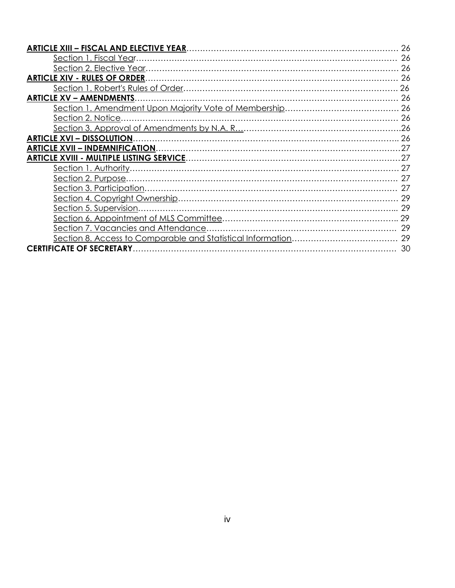| <b>ARTICLE XV - AMENDMENTS</b> |    |
|--------------------------------|----|
|                                |    |
| Section 2. Notice.             |    |
|                                |    |
|                                |    |
|                                |    |
|                                |    |
|                                |    |
|                                |    |
|                                |    |
|                                |    |
|                                |    |
|                                |    |
|                                |    |
|                                |    |
|                                | 30 |
|                                |    |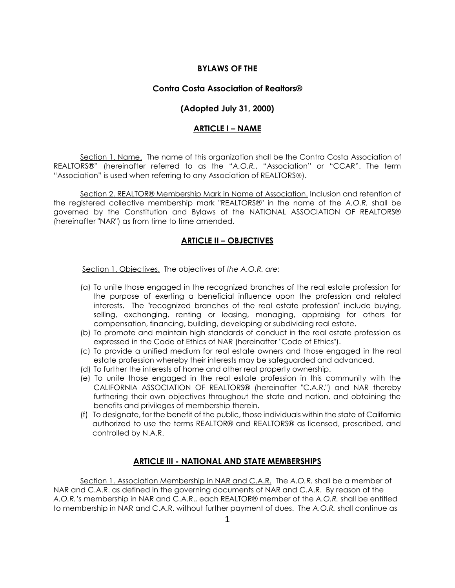## **BYLAWS OF THE**

### **Contra Costa Association of Realtors®**

# **(Adopted July 31, 2000)**

## **ARTICLE I – NAME**

Section 1. Name. The name of this organization shall be the Contra Costa Association of REALTORS®" (hereinafter referred to as the "*A.O.R.*, "Association" or "CCAR". The term "Association" is used when referring to any Association of REALTORS).

Section 2. REALTOR® Membership Mark in Name of Association. Inclusion and retention of the registered collective membership mark "REALTORS®" in the name of the *A.O.R.* shall be governed by the Constitution and Bylaws of the NATIONAL ASSOCIATION OF REALTORS® (hereinafter "NAR") as from time to time amended.

# **ARTICLE II – OBJECTIVES**

Section 1. Objectives. The objectives of *the A.O.R. are:*

- (a) To unite those engaged in the recognized branches of the real estate profession for the purpose of exerting a beneficial influence upon the profession and related interests. The "recognized branches of the real estate profession" include buying, selling, exchanging, renting or leasing, managing, appraising for others for compensation, financing, building, developing or subdividing real estate.
- (b) To promote and maintain high standards of conduct in the real estate profession as expressed in the Code of Ethics of NAR (hereinafter "Code of Ethics").
- (c) To provide a unified medium for real estate owners and those engaged in the real estate profession whereby their interests may be safeguarded and advanced.
- (d) To further the interests of home and other real property ownership.
- (e) To unite those engaged in the real estate profession in this community with the CALIFORNIA ASSOCIATION OF REALTORS® (hereinafter "C.A.R.") and NAR thereby furthering their own objectives throughout the state and nation, and obtaining the benefits and privileges of membership therein.
- (f) To designate, for the benefit of the public, those individuals within the state of California authorized to use the terms REALTOR® and REALTORS® as licensed, prescribed, and controlled by N.A.R.

# **ARTICLE III - NATIONAL AND STATE MEMBERSHIPS**

Section 1. Association Membership in NAR and C.A.R. The *A.O.R.* shall be a member of NAR and C.A.R. as defined in the governing documents of NAR and C.A.R. By reason of the *A.O.R.'s* membership in NAR and C.A.R., each REALTOR® member of the *A.O.R.* shall be entitled to membership in NAR and C.A.R. without further payment of dues. The *A.O.R.* shall continue as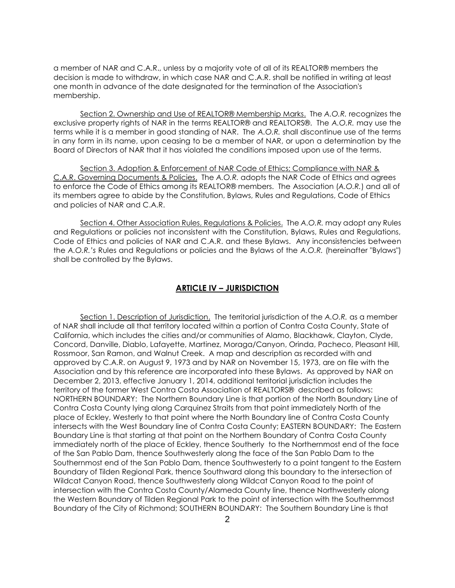a member of NAR and C.A.R., unless by a majority vote of all of its REALTOR® members the decision is made to withdraw, in which case NAR and C.A.R. shall be notified in writing at least one month in advance of the date designated for the termination of the Association's membership.

Section 2. Ownership and Use of REALTOR® Membership Marks. The *A.O.R.* recognizes the exclusive property rights of NAR in the terms REALTOR® and REALTORS®. The *A.O.R.* may use the terms while it is a member in good standing of NAR. The *A.O.R.* shall discontinue use of the terms in any form in its name, upon ceasing to be a member of NAR, or upon a determination by the Board of Directors of NAR that it has violated the conditions imposed upon use of the terms.

Section 3. Adoption & Enforcement of NAR Code of Ethics; Compliance with NAR & C.A.R. Governing Documents & Policies. The *A.O.R.* adopts the NAR Code of Ethics and agrees to enforce the Code of Ethics among its REALTOR® members. The Association (*A.O.R.*) and all of its members agree to abide by the Constitution, Bylaws, Rules and Regulations, Code of Ethics and policies of NAR and C.A.R.

Section 4. Other Association Rules, Regulations & Policies. The *A.O.R.* may adopt any Rules and Regulations or policies not inconsistent with the Constitution, Bylaws, Rules and Regulations, Code of Ethics and policies of NAR and C.A.R. and these Bylaws. Any inconsistencies between the *A.O.R.'s* Rules and Regulations or policies and the Bylaws of the *A.O.R.* (hereinafter "Bylaws") shall be controlled by the Bylaws.

#### **ARTICLE IV – JURISDICTION**

Section 1. Description of Jurisdiction. The territorial jurisdiction of the *A.O.R.* as a member of NAR shall include all that territory located within a portion of Contra Costa County, State of California, which includes the cities and/or communities of Alamo, Blackhawk, Clayton, Clyde, Concord, Danville, Diablo, Lafayette, Martinez, Moraga/Canyon, Orinda, Pacheco, Pleasant Hill, Rossmoor, San Ramon, and Walnut Creek. A map and description as recorded with and approved by C.A.R. on August 9, 1973 and by NAR on November 15, 1973, are on file with the Association and by this reference are incorporated into these Bylaws. As approved by NAR on December 2, 2013, effective January 1, 2014, additional territorial jurisdiction includes the territory of the former West Contra Costa Association of REALTORS® described as follows: NORTHERN BOUNDARY: The Northern Boundary Line is that portion of the North Boundary Line of Contra Costa County lying along Carquinez Straits from that point immediately North of the place of Eckley, Westerly to that point where the North Boundary line of Contra Costa County intersects with the West Boundary line of Contra Costa County; EASTERN BOUNDARY: The Eastern Boundary Line is that starting at that point on the Northern Boundary of Contra Costa County immediately north of the place of Eckley, thence Southerly to the Northernmost end of the face of the San Pablo Dam, thence Southwesterly along the face of the San Pablo Dam to the Southernmost end of the San Pablo Dam, thence Southwesterly to a point tangent to the Eastern Boundary of Tilden Regional Park, thence Southward along this boundary to the intersection of Wildcat Canyon Road, thence Southwesterly along Wildcat Canyon Road to the point of intersection with the Contra Costa County/Alameda County line, thence Northwesterly along the Western Boundary of Tilden Regional Park to the point of intersection with the Southernmost Boundary of the City of Richmond; SOUTHERN BOUNDARY: The Southern Boundary Line is that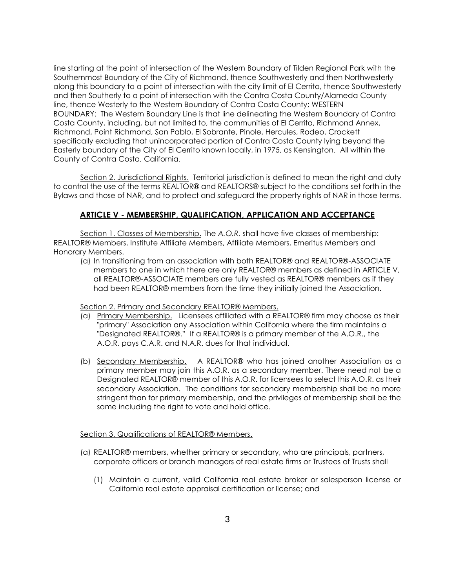line starting at the point of intersection of the Western Boundary of Tilden Regional Park with the Southernmost Boundary of the City of Richmond, thence Southwesterly and then Northwesterly along this boundary to a point of intersection with the city limit of El Cerrito, thence Southwesterly and then Southerly to a point of intersection with the Contra Costa County/Alameda County line, thence Westerly to the Western Boundary of Contra Costa County; WESTERN BOUNDARY: The Western Boundary Line is that line delineating the Western Boundary of Contra Costa County, including, but not limited to, the communities of El Cerrito, Richmond Annex, Richmond, Point Richmond, San Pablo, El Sobrante, Pinole, Hercules, Rodeo, Crockett specifically excluding that unincorporated portion of Contra Costa County lying beyond the Easterly boundary of the City of El Cerrito known locally, in 1975, as Kensington. All within the County of Contra Costa, California.

Section 2. Jurisdictional Rights. Territorial jurisdiction is defined to mean the right and duty to control the use of the terms REALTOR® and REALTORS® subject to the conditions set forth in the Bylaws and those of NAR, and to protect and safeguard the property rights of NAR in those terms.

# **ARTICLE V - MEMBERSHIP, QUALIFICATION, APPLICATION AND ACCEPTANCE**

Section 1. Classes of Membership. The *A.O.R.* shall have five classes of membership: REALTOR® Members, Institute Affiliate Members, Affiliate Members, Emeritus Members and Honorary Members.

(a) In transitioning from an association with both REALTOR® and REALTOR®-ASSOCIATE members to one in which there are only REALTOR® members as defined in ARTICLE V, all REALTOR®-ASSOCIATE members are fully vested as REALTOR® members as if they had been REALTOR® members from the time they initially joined the Association.

Section 2. Primary and Secondary REALTOR® Members.

- (a) Primary Membership. Licensees affiliated with a REALTOR® firm may choose as their "primary" Association any Association within California where the firm maintains a "Designated REALTOR®." If a REALTOR® is a primary member of the A.O.R., the A.O.R. pays C.A.R. and N.A.R. dues for that individual.
- (b) Secondary Membership. A REALTOR® who has joined another Association as a primary member may join this A.O.R. as a secondary member. There need not be a Designated REALTOR® member of this A.O.R. for licensees to select this A.O.R. as their secondary Association. The conditions for secondary membership shall be no more stringent than for primary membership, and the privileges of membership shall be the same including the right to vote and hold office.

#### Section 3. Qualifications of REALTOR® Members.

- (a) REALTOR® members, whether primary or secondary, who are principals, partners, corporate officers or branch managers of real estate firms or Trustees of Trusts shall
	- (1) Maintain a current, valid California real estate broker or salesperson license or California real estate appraisal certification or license; and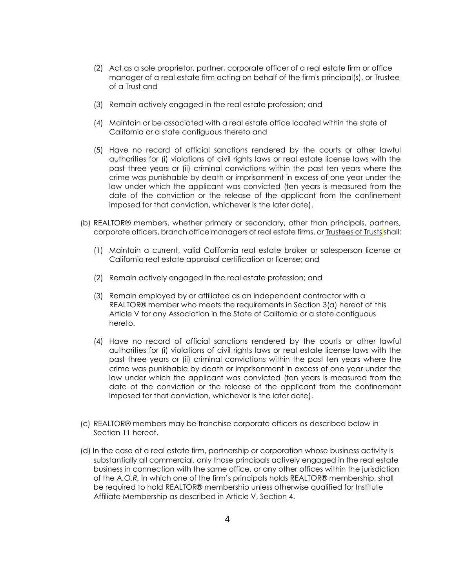- (2) Act as a sole proprietor, partner, corporate officer of a real estate firm or office manager of a real estate firm acting on behalf of the firm's principal(s), or *Irustee* of a Trust and
- (3) Remain actively engaged in the real estate profession; and
- (4) Maintain or be associated with a real estate office located within the state of California or a state contiguous thereto and
- (5) Have no record of official sanctions rendered by the courts or other lawful authorities for (i) violations of civil rights laws or real estate license laws with the past three years or (ii) criminal convictions within the past ten years where the crime was punishable by death or imprisonment in excess of one year under the law under which the applicant was convicted (ten years is measured from the date of the conviction or the release of the applicant from the confinement imposed for that conviction, whichever is the later date).
- (b) REALTOR® members, whether primary or secondary, other than principals, partners, corporate officers, branch office managers of real estate firms, or Trustees of Trusts shall:
	- (1) Maintain a current, valid California real estate broker or salesperson license or California real estate appraisal certification or license; and
	- (2) Remain actively engaged in the real estate profession; and
	- (3) Remain employed by or affiliated as an independent contractor with a REALTOR® member who meets the requirements in Section 3(a) hereof of this Article V for any Association in the State of California or a state contiguous hereto.
	- (4) Have no record of official sanctions rendered by the courts or other lawful authorities for (i) violations of civil rights laws or real estate license laws with the past three years or (ii) criminal convictions within the past ten years where the crime was punishable by death or imprisonment in excess of one year under the law under which the applicant was convicted (ten years is measured from the date of the conviction or the release of the applicant from the confinement imposed for that conviction, whichever is the later date).
- (c) REALTOR® members may be franchise corporate officers as described below in Section 11 hereof.
- (d) In the case of a real estate firm, partnership or corporation whose business activity is substantially all commercial, only those principals actively engaged in the real estate business in connection with the same office, or any other offices within the jurisdiction of the *A.O.R.* in which one of the firm's principals holds REALTOR® membership, shall be required to hold REALTOR® membership unless otherwise qualified for Institute Affiliate Membership as described in Article V, Section 4.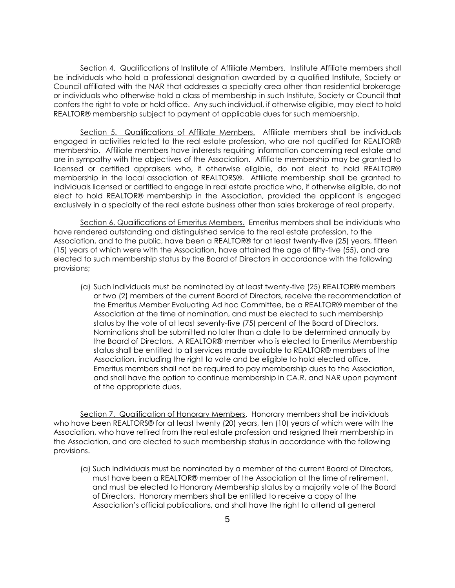Section 4. Qualifications of Institute of Affiliate Members. Institute Affiliate members shall be individuals who hold a professional designation awarded by a qualified Institute, Society or Council affiliated with the NAR that addresses a specialty area other than residential brokerage or individuals who otherwise hold a class of membership in such Institute, Society or Council that confers the right to vote or hold office. Any such individual, if otherwise eligible, may elect to hold REALTOR® membership subject to payment of applicable dues for such membership.

Section 5. Qualifications of Affiliate Members. Affiliate members shall be individuals engaged in activities related to the real estate profession, who are not qualified for REALTOR® membership. Affiliate members have interests requiring information concerning real estate and are in sympathy with the objectives of the Association. Affiliate membership may be granted to licensed or certified appraisers who, if otherwise eligible, do not elect to hold REALTOR® membership in the local association of REALTORS®. Affiliate membership shall be granted to individuals licensed or certified to engage in real estate practice who, if otherwise eligible, do not elect to hold REALTOR® membership in the Association, provided the applicant is engaged exclusively in a specialty of the real estate business other than sales brokerage of real property.

Section 6. Qualifications of Emeritus Members. Emeritus members shall be individuals who have rendered outstanding and distinguished service to the real estate profession, to the Association, and to the public, have been a REALTOR® for at least twenty-five (25) years, fifteen (15) years of which were with the Association, have attained the age of fifty-five (55), and are elected to such membership status by the Board of Directors in accordance with the following provisions;

(a) Such individuals must be nominated by at least twenty-five (25) REALTOR® members or two (2) members of the current Board of Directors, receive the recommendation of the Emeritus Member Evaluating Ad hoc Committee, be a REALTOR® member of the Association at the time of nomination, and must be elected to such membership status by the vote of at least seventy-five (75) percent of the Board of Directors. Nominations shall be submitted no later than a date to be determined annually by the Board of Directors. A REALTOR® member who is elected to Emeritus Membership status shall be entitled to all services made available to REALTOR® members of the Association, including the right to vote and be eligible to hold elected office. Emeritus members shall not be required to pay membership dues to the Association, and shall have the option to continue membership in CA.R. and NAR upon payment of the appropriate dues.

Section 7. Qualification of Honorary Members. Honorary members shall be individuals who have been REALTORS® for at least twenty (20) years, ten (10) years of which were with the Association, who have retired from the real estate profession and resigned their membership in the Association, and are elected to such membership status in accordance with the following provisions.

(a) Such individuals must be nominated by a member of the current Board of Directors, must have been a REALTOR® member of the Association at the time of retirement, and must be elected to Honorary Membership status by a majority vote of the Board of Directors. Honorary members shall be entitled to receive a copy of the Association's official publications, and shall have the right to attend all general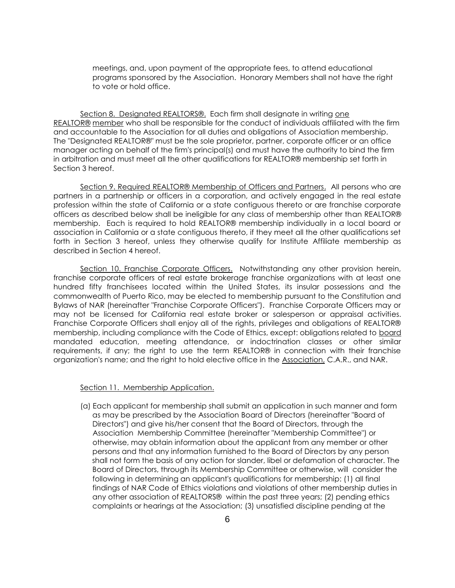meetings, and, upon payment of the appropriate fees, to attend educational programs sponsored by the Association. Honorary Members shall not have the right to vote or hold office.

Section 8. Designated REALTORS®. Each firm shall designate in writing one REALTOR® member who shall be responsible for the conduct of individuals affiliated with the firm and accountable to the Association for all duties and obligations of Association membership. The "Designated REALTOR®" must be the sole proprietor, partner, corporate officer or an office manager acting on behalf of the firm's principal(s) and must have the authority to bind the firm in arbitration and must meet all the other qualifications for REALTOR® membership set forth in Section 3 hereof.

Section 9. Required REALTOR® Membership of Officers and Partners. All persons who are partners in a partnership or officers in a corporation, and actively engaged in the real estate profession within the state of California or a state contiguous thereto or are franchise corporate officers as described below shall be ineligible for any class of membership other than REALTOR® membership. Each is required to hold REALTOR® membership individually in a local board or association in California or a state contiguous thereto, if they meet all the other qualifications set forth in Section 3 hereof, unless they otherwise qualify for Institute Affiliate membership as described in Section 4 hereof.

Section 10. Franchise Corporate Officers. Notwithstanding any other provision herein, franchise corporate officers of real estate brokerage franchise organizations with at least one hundred fifty franchisees located within the United States, its insular possessions and the commonwealth of Puerto Rico, may be elected to membership pursuant to the Constitution and Bylaws of NAR (hereinafter "Franchise Corporate Officers"). Franchise Corporate Officers may or may not be licensed for California real estate broker or salesperson or appraisal activities. Franchise Corporate Officers shall enjoy all of the rights, privileges and obligations of REALTOR® membership, including compliance with the Code of Ethics, except: obligations related to board mandated education, meeting attendance, or indoctrination classes or other similar requirements, if any; the right to use the term REALTOR® in connection with their franchise organization's name; and the right to hold elective office in the Association, C.A.R., and NAR.

### Section 11. Membership Application.

 (a) Each applicant for membership shall submit an application in such manner and form as may be prescribed by the Association Board of Directors (hereinafter "Board of Directors") and give his/her consent that the Board of Directors, through the Association Membership Committee (hereinafter "Membership Committee") or otherwise, may obtain information about the applicant from any member or other persons and that any information furnished to the Board of Directors by any person shall not form the basis of any action for slander, libel or defamation of character. The Board of Directors, through its Membership Committee or otherwise, will consider the following in determining an applicant's qualifications for membership: (1) all final findings of NAR Code of Ethics violations and violations of other membership duties in any other association of REALTORS® within the past three years; (2) pending ethics complaints or hearings at the Association; (3) unsatisfied discipline pending at the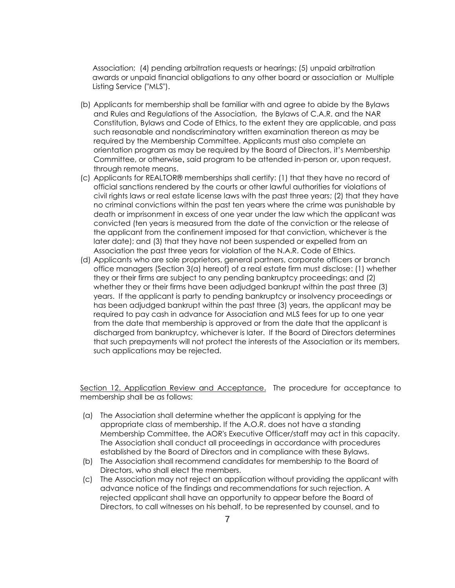Association; (4) pending arbitration requests or hearings; (5) unpaid arbitration awards or unpaid financial obligations to any other board or association or Multiple Listing Service ("MLS").

- (b) Applicants for membership shall be familiar with and agree to abide by the Bylaws and Rules and Regulations of the Association, the Bylaws of C.A.R. and the NAR Constitution, Bylaws and Code of Ethics, to the extent they are applicable, and pass such reasonable and nondiscriminatory written examination thereon as may be required by the Membership Committee. Applicants must also complete an orientation program as may be required by the Board of Directors, it's Membership Committee, or otherwise, said program to be attended in-person or, upon request, through remote means.
- (c) Applicants for REALTOR® memberships shall certify: (1) that they have no record of official sanctions rendered by the courts or other lawful authorities for violations of civil rights laws or real estate license laws with the past three years; (2) that they have no criminal convictions within the past ten years where the crime was punishable by death or imprisonment in excess of one year under the law which the applicant was convicted (ten years is measured from the date of the conviction or the release of the applicant from the confinement imposed for that conviction, whichever is the later date); and (3) that they have not been suspended or expelled from an Association the past three years for violation of the N.A.R. Code of Ethics.
- (d) Applicants who are sole proprietors, general partners, corporate officers or branch office managers (Section 3(a) hereof) of a real estate firm must disclose: (1) whether they or their firms are subject to any pending bankruptcy proceedings; and (2) whether they or their firms have been adjudged bankrupt within the past three (3) years. If the applicant is party to pending bankruptcy or insolvency proceedings or has been adjudged bankrupt within the past three (3) years, the applicant may be required to pay cash in advance for Association and MLS fees for up to one year from the date that membership is approved or from the date that the applicant is discharged from bankruptcy, whichever is later. If the Board of Directors determines that such prepayments will not protect the interests of the Association or its members, such applications may be rejected.

Section 12. Application Review and Acceptance. The procedure for acceptance to membership shall be as follows:

- (a) The Association shall determine whether the applicant is applying for the appropriate class of membership. If the A.O.R. does not have a standing Membership Committee, the AOR's Executive Officer/staff may act in this capacity. The Association shall conduct all proceedings in accordance with procedures established by the Board of Directors and in compliance with these Bylaws.
- (b) The Association shall recommend candidates for membership to the Board of Directors, who shall elect the members.
- (c) The Association may not reject an application without providing the applicant with advance notice of the findings and recommendations for such rejection. A rejected applicant shall have an opportunity to appear before the Board of Directors, to call witnesses on his behalf, to be represented by counsel, and to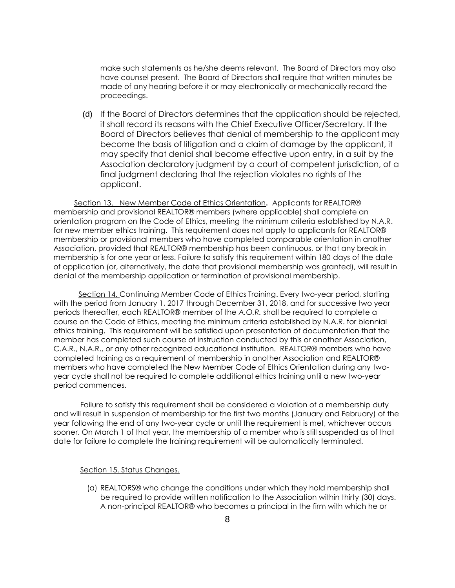make such statements as he/she deems relevant. The Board of Directors may also have counsel present. The Board of Directors shall require that written minutes be made of any hearing before it or may electronically or mechanically record the proceedings.

(d) If the Board of Directors determines that the application should be rejected, it shall record its reasons with the Chief Executive Officer/Secretary. If the Board of Directors believes that denial of membership to the applicant may become the basis of litigation and a claim of damage by the applicant, it may specify that denial shall become effective upon entry, in a suit by the Association declaratory judgment by a court of competent jurisdiction, of a final judgment declaring that the rejection violates no rights of the applicant.

Section 13. New Member Code of Ethics Orientation**.** Applicants for REALTOR® membership and provisional REALTOR® members (where applicable) shall complete an orientation program on the Code of Ethics, meeting the minimum criteria established by N.A.R. for new member ethics training. This requirement does not apply to applicants for REALTOR® membership or provisional members who have completed comparable orientation in another Association, provided that REALTOR® membership has been continuous, or that any break in membership is for one year or less. Failure to satisfy this requirement within 180 days of the date of application (or, alternatively, the date that provisional membership was granted), will result in denial of the membership application or termination of provisional membership.

Section 14. Continuing Member Code of Ethics Training. Every two-year period, starting with the period from January 1, 2017 through December 31, 2018, and for successive two year periods thereafter, each REALTOR® member of the *A.O.R.* shall be required to complete a course on the Code of Ethics, meeting the minimum criteria established by N.A.R. for biennial ethics training. This requirement will be satisfied upon presentation of documentation that the member has completed such course of instruction conducted by this or another Association, C.A.R., N.A.R., or any other recognized educational institution. REALTOR® members who have completed training as a requirement of membership in another Association and REALTOR® members who have completed the New Member Code of Ethics Orientation during any twoyear cycle shall not be required to complete additional ethics training until a new two-year period commences.

Failure to satisfy this requirement shall be considered a violation of a membership duty and will result in suspension of membership for the first two months (January and February) of the year following the end of any two-year cycle or until the requirement is met, whichever occurs sooner. On March 1 of that year, the membership of a member who is still suspended as of that date for failure to complete the training requirement will be automatically terminated.

#### Section 15. Status Changes.

(a) REALTORS® who change the conditions under which they hold membership shall be required to provide written notification to the Association within thirty (30) days. A non-principal REALTOR® who becomes a principal in the firm with which he or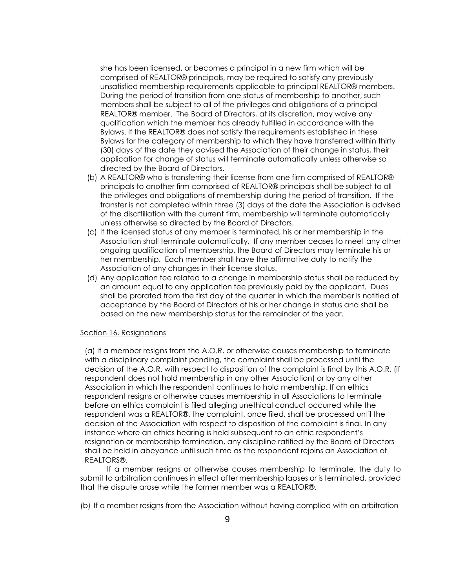she has been licensed, or becomes a principal in a new firm which will be comprised of REALTOR® principals, may be required to satisfy any previously unsatisfied membership requirements applicable to principal REALTOR® members. During the period of transition from one status of membership to another, such members shall be subject to all of the privileges and obligations of a principal REALTOR® member. The Board of Directors, at its discretion, may waive any qualification which the member has already fulfilled in accordance with the Bylaws. If the REALTOR® does not satisfy the requirements established in these Bylaws for the category of membership to which they have transferred within thirty (30) days of the date they advised the Association of their change in status, their application for change of status will terminate automatically unless otherwise so directed by the Board of Directors.

- (b) A REALTOR® who is transferring their license from one firm comprised of REALTOR® principals to another firm comprised of REALTOR® principals shall be subject to all the privileges and obligations of membership during the period of transition. If the transfer is not completed within three (3) days of the date the Association is advised of the disaffiliation with the current firm, membership will terminate automatically unless otherwise so directed by the Board of Directors.
- (c) If the licensed status of any member is terminated, his or her membership in the Association shall terminate automatically. If any member ceases to meet any other ongoing qualification of membership, the Board of Directors may terminate his or her membership. Each member shall have the affirmative duty to notify the Association of any changes in their license status.
- (d) Any application fee related to a change in membership status shall be reduced by an amount equal to any application fee previously paid by the applicant. Dues shall be prorated from the first day of the quarter in which the member is notified of acceptance by the Board of Directors of his or her change in status and shall be based on the new membership status for the remainder of the year.

#### Section 16. Resignations

(a) If a member resigns from the A.O.R. or otherwise causes membership to terminate with a disciplinary complaint pending, the complaint shall be processed until the decision of the A.O.R. with respect to disposition of the complaint is final by this A.O.R. (if respondent does not hold membership in any other Association) or by any other Association in which the respondent continues to hold membership. If an ethics respondent resigns or otherwise causes membership in all Associations to terminate before an ethics complaint is filed alleging unethical conduct occurred while the respondent was a REALTOR®, the complaint, once filed, shall be processed until the decision of the Association with respect to disposition of the complaint is final. In any instance where an ethics hearing is held subsequent to an ethic respondent's resignation or membership termination, any discipline ratified by the Board of Directors shall be held in abeyance until such time as the respondent rejoins an Association of REALTORS®.

If a member resigns or otherwise causes membership to terminate, the duty to submit to arbitration continues in effect after membership lapses or is terminated, provided that the dispute arose while the former member was a REALTOR®.

(b) If a member resigns from the Association without having complied with an arbitration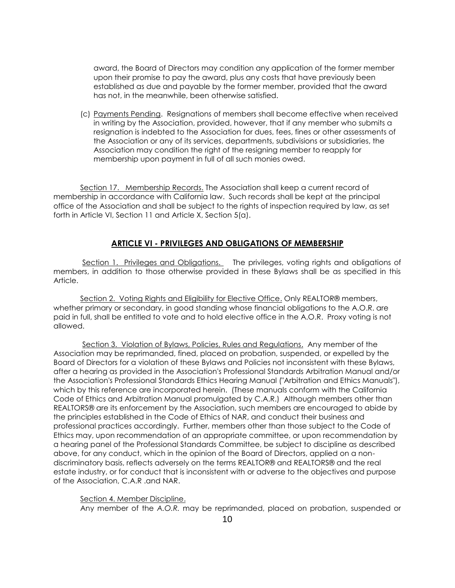award, the Board of Directors may condition any application of the former member upon their promise to pay the award, plus any costs that have previously been established as due and payable by the former member, provided that the award has not, in the meanwhile, been otherwise satisfied.

(c) Payments Pending. Resignations of members shall become effective when received in writing by the Association, provided, however, that if any member who submits a resignation is indebted to the Association for dues, fees, fines or other assessments of the Association or any of its services, departments, subdivisions or subsidiaries, the Association may condition the right of the resigning member to reapply for membership upon payment in full of all such monies owed.

Section 17. Membership Records. The Association shall keep a current record of membership in accordance with California law. Such records shall be kept at the principal office of the Association and shall be subject to the rights of inspection required by law, as set forth in Article VI, Section 11 and Article X, Section 5(a).

# **ARTICLE VI - PRIVILEGES AND OBLIGATIONS OF MEMBERSHIP**

Section 1. Privileges and Obligations. The privileges, voting rights and obligations of members, in addition to those otherwise provided in these Bylaws shall be as specified in this Article.

Section 2. Voting Rights and Eligibility for Elective Office. Only REALTOR® members, whether primary or secondary, in good standing whose financial obligations to the A.O.R. are paid in full, shall be entitled to vote and to hold elective office in the A.O.R. Proxy voting is not allowed.

Section 3. Violation of Bylaws, Policies, Rules and Regulations. Any member of the Association may be reprimanded, fined, placed on probation, suspended, or expelled by the Board of Directors for a violation of these Bylaws and Policies not inconsistent with these Bylaws, after a hearing as provided in the Association's Professional Standards Arbitration Manual and/or the Association's Professional Standards Ethics Hearing Manual ("Arbitration and Ethics Manuals"), which by this reference are incorporated herein. (These manuals conform with the California Code of Ethics and Arbitration Manual promulgated by C.A.R.) Although members other than REALTORS® are its enforcement by the Association, such members are encouraged to abide by the principles established in the Code of Ethics of NAR, and conduct their business and professional practices accordingly. Further, members other than those subject to the Code of Ethics may, upon recommendation of an appropriate committee, or upon recommendation by a hearing panel of the Professional Standards Committee, be subject to discipline as described above, for any conduct, which in the opinion of the Board of Directors, applied on a nondiscriminatory basis, reflects adversely on the terms REALTOR® and REALTORS® and the real estate industry, or for conduct that is inconsistent with or adverse to the objectives and purpose of the Association, C.A.R .and NAR.

Section 4. Member Discipline.

Any member of the *A.O.R.* may be reprimanded, placed on probation, suspended or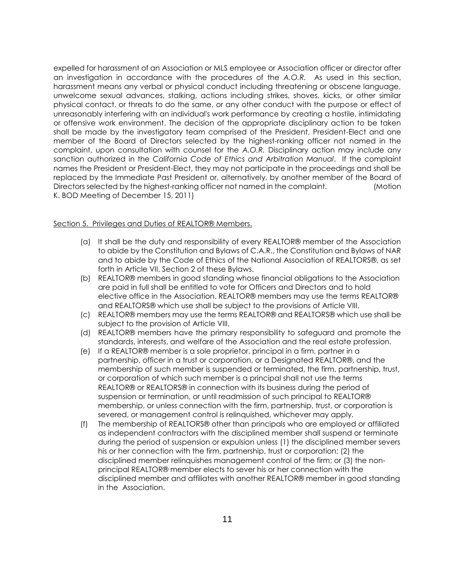expelled for harassment of an Association or MLS employee or Association officer or director after an investigation in accordance with the procedures of the *A.O.R.* As used in this section, harassment means any verbal or physical conduct including threatening or obscene language, unwelcome sexual advances, stalking, actions including strikes, shoves, kicks, or other similar physical contact, or threats to do the same, or any other conduct with the purpose or effect of unreasonably interfering with an individual's work performance by creating a hostile, intimidating or offensive work environment. The decision of the appropriate disciplinary action to be taken shall be made by the investigatory team comprised of the President, President-Elect and one member of the Board of Directors selected by the highest-ranking officer not named in the complaint, upon consultation with counsel for the *A.O.R.* Disciplinary action may include any sanction authorized in the *California Code of Ethics and Arbitration Manual*. If the complaint names the President or President-Elect, they may not participate in the proceedings and shall be replaced by the Immediate Past President or, alternatively, by another member of the Board of Directors selected by the highest-ranking officer not named in the complaint. (Motion K. BOD Meeting of December 15, 2011)

#### Section 5. Privileges and Duties of REALTOR® Members.

- (a) It shall be the duty and responsibility of every REALTOR® member of the Association to abide by the Constitution and Bylaws of C.A.R., the Constitution and Bylaws of NAR and to abide by the Code of Ethics of the National Association of REALTORS®, as set forth in Article VII, Section 2 of these Bylaws.
- (b) REALTOR® members in good standing whose financial obligations to the Association are paid in full shall be entitled to vote for Officers and Directors and to hold elective office in the Association. REALTOR® members may use the terms REALTOR® and REALTORS® which use shall be subject to the provisions of Article VIII.
- (c) REALTOR® members may use the terms REALTOR® and REALTORS® which use shall be subject to the provision of Article VIII.
- (d) REALTOR® members have the primary responsibility to safeguard and promote the standards, interests, and welfare of the Association and the real estate profession.
- (e) If a REALTOR® member is a sole proprietor, principal in a firm, partner in a partnership, officer in a trust or corporation, or a Designated REALTOR®, and the membership of such member is suspended or terminated, the firm, partnership, trust, or corporation of which such member is a principal shall not use the terms REALTOR® or REALTORS® in connection with its business during the period of suspension or termination, or until readmission of such principal to REALTOR® membership, or unless connection with the firm, partnership, trust, or corporation is severed, or management control is relinquished, whichever may apply.
- (f) The membership of REALTORS® other than principals who are employed or affiliated as independent contractors with the disciplined member shall suspend or terminate during the period of suspension or expulsion unless (1) the disciplined member severs his or her connection with the firm, partnership, trust or corporation; (2) the disciplined member relinquishes management control of the firm; or (3) the nonprincipal REALTOR® member elects to sever his or her connection with the disciplined member and affiliates with another REALTOR® member in good standing in the Association.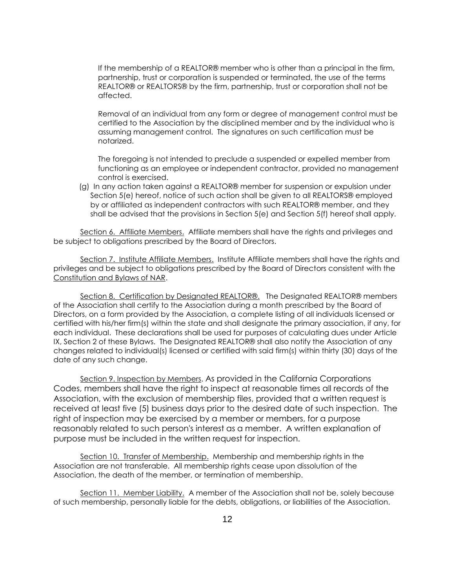If the membership of a REALTOR® member who is other than a principal in the firm, partnership, trust or corporation is suspended or terminated, the use of the terms REALTOR® or REALTORS® by the firm, partnership, trust or corporation shall not be affected.

Removal of an individual from any form or degree of management control must be certified to the Association by the disciplined member and by the individual who is assuming management control. The signatures on such certification must be notarized.

The foregoing is not intended to preclude a suspended or expelled member from functioning as an employee or independent contractor, provided no management control is exercised.

(g) In any action taken against a REALTOR® member for suspension or expulsion under Section 5(e) hereof, notice of such action shall be given to all REALTORS® employed by or affiliated as independent contractors with such REALTOR® member, and they shall be advised that the provisions in Section 5(e) and Section 5(f) hereof shall apply.

Section 6. Affiliate Members. Affiliate members shall have the rights and privileges and be subject to obligations prescribed by the Board of Directors.

Section 7. Institute Affiliate Members. Institute Affiliate members shall have the rights and privileges and be subject to obligations prescribed by the Board of Directors consistent with the Constitution and Bylaws of NAR.

Section 8. Certification by Designated REALTOR®. The Designated REALTOR® members of the Association shall certify to the Association during a month prescribed by the Board of Directors, on a form provided by the Association, a complete listing of all individuals licensed or certified with his/her firm(s) within the state and shall designate the primary association, if any, for each individual. These declarations shall be used for purposes of calculating dues under Article IX, Section 2 of these Bylaws. The Designated REALTOR® shall also notify the Association of any changes related to individual(s) licensed or certified with said firm(s) within thirty (30) days of the date of any such change.

Section 9. Inspection by Members. As provided in the California Corporations Codes, members shall have the right to inspect at reasonable times all records of the Association, with the exclusion of membership files, provided that a written request is received at least five (5) business days prior to the desired date of such inspection. The right of inspection may be exercised by a member or members, for a purpose reasonably related to such person's interest as a member. A written explanation of purpose must be included in the written request for inspection.

Section 10. Transfer of Membership. Membership and membership rights in the Association are not transferable. All membership rights cease upon dissolution of the Association, the death of the member, or termination of membership.

Section 11. Member Liability. A member of the Association shall not be, solely because of such membership, personally liable for the debts, obligations, or liabilities of the Association.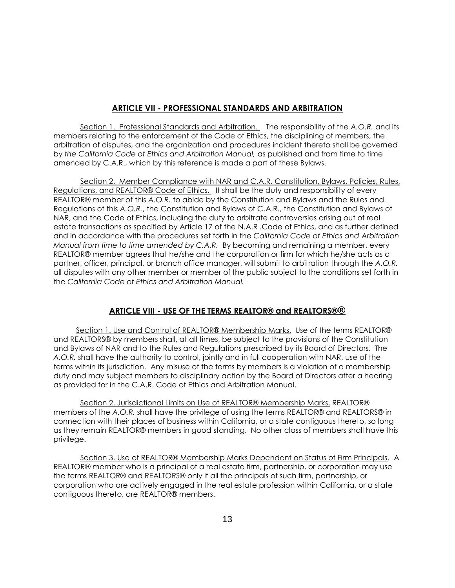# **ARTICLE VII - PROFESSIONAL STANDARDS AND ARBITRATION**

Section 1. Professional Standards and Arbitration. The responsibility of the *A.O.R.* and its members relating to the enforcement of the Code of Ethics, the disciplining of members, the arbitration of disputes, and the organization and procedures incident thereto shall be governed by *the California Code of Ethics and Arbitration Manual,* as published and from time to time amended by C.A.R., which by this reference is made a part of these Bylaws.

Section 2. Member Compliance with NAR and C.A.R. Constitution, Bylaws, Policies, Rules, Regulations, and REALTOR® Code of Ethics. It shall be the duty and responsibility of every REALTOR® member of this *A.O.R.* to abide by the Constitution and Bylaws and the Rules and Regulations of this *A.O.R.*, the Constitution and Bylaws of C.A.R., the Constitution and Bylaws of NAR, and the Code of Ethics, including the duty to arbitrate controversies arising out of real estate transactions as specified by Article 17 of the N.A.R .Code of Ethics, and as further defined and in accordance with the procedures set forth in the *California Code of Ethics and Arbitration Manual from time to time amended by C.A.R.* By becoming and remaining a member, every REALTOR® member agrees that he/she and the corporation or firm for which he/she acts as a partner, officer, principal, or branch office manager, will submit to arbitration through the *A.O.R.*  all disputes with any other member or member of the public subject to the conditions set forth in the *California Code of Ethics and Arbitration Manual.*

# **ARTICLE VIII - USE OF THE TERMS REALTOR® and REALTORS®®**

Section 1. Use and Control of REALTOR® Membership Marks. Use of the terms REALTOR® and REALTORS® by members shall, at all times, be subject to the provisions of the Constitution and Bylaws of NAR and to the Rules and Regulations prescribed by its Board of Directors. The *A.O.R.* shall have the authority to control, jointly and in full cooperation with NAR, use of the terms within its jurisdiction. Any misuse of the terms by members is a violation of a membership duty and may subject members to disciplinary action by the Board of Directors after a hearing as provided for in the C.A.R. Code of Ethics and Arbitration Manual.

Section 2. Jurisdictional Limits on Use of REALTOR® Membership Marks. REALTOR® members of the *A.O.R.* shall have the privilege of using the terms REALTOR® and REALTORS® in connection with their places of business within California, or a state contiguous thereto, so long as they remain REALTOR® members in good standing. No other class of members shall have this privilege.

Section 3. Use of REALTOR® Membership Marks Dependent on Status of Firm Principals. A REALTOR® member who is a principal of a real estate firm, partnership, or corporation may use the terms REALTOR® and REALTORS® only if all the principals of such firm, partnership, or corporation who are actively engaged in the real estate profession within California, or a state contiguous thereto, are REALTOR® members.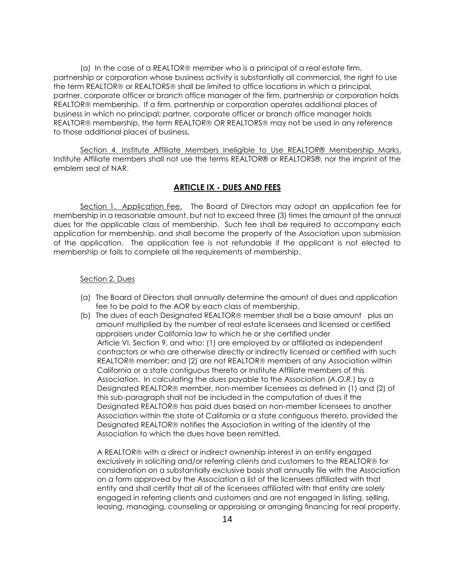(a) In the case of a REALTOR® member who is a principal of a real estate firm, partnership or corporation whose business activity is substantially all commercial, the right to use the term REALTOR® or REALTORS® shall be limited to office locations in which a principal, partner, corporate officer or branch office manager of the firm, partnership or corporation holds REALTOR® membership. If a firm, partnership or corporation operates additional places of business in which no principal; partner, corporate officer or branch office manager holds REALTOR® membership, the term REALTOR® OR REALTORS® may not be used in any reference to those additional places of business*.*

Section 4. Institute Affiliate Members Ineligible to Use REALTOR® Membership Marks. Institute Affiliate members shall not use the terms REALTOR® or REALTORS®, nor the imprint of the emblem seal of NAR.

## **ARTICLE IX - DUES AND FEES**

Section 1. Application Fee. The Board of Directors may adopt an application fee for membership in a reasonable amount, but not to exceed three (3) times the amount of the annual dues for the applicable class of membership. Such fee shall be required to accompany each application for membership, and shall become the property of the Association upon submission of the application. The application fee is not refundable if the applicant is not elected to membership or fails to complete all the requirements of membership.

#### Section 2. Dues

- (a) The Board of Directors shall annually determine the amount of dues and application fee to be paid to the AOR by each class of membership.
- (b) The dues of each Designated REALTOR® member shall be a base amount plus an amount multiplied by the number of real estate licensees and licensed or certified appraisers under California law to which he or she certified under Article VI, Section 9, and who: (1) are employed by or affiliated as independent contractors or who are otherwise directly or indirectly licensed or certified with such REALTOR® member; and (2) are not REALTOR® members of any Association within California or a state contiguous thereto or Institute Affiliate members of this Association. In calculating the dues payable to the Association (*A.O.R.*) by a Designated REALTOR® member, non-member licensees as defined in (1) and (2) of this sub-paragraph shall not be included in the computation of dues if the Designated REALTOR® has paid dues based on non-member licensees to another Association within the state of California or a state contiguous thereto, provided the Designated REALTOR® notifies the Association in writing of the identity of the Association to which the dues have been remitted.

A REALTOR<sup>®</sup> with a direct or indirect ownership interest in an entity engaged exclusively in soliciting and/or referring clients and customers to the REALTOR® for consideration on a substantially exclusive basis shall annually file with the Association on a form approved by the Association a list of the licensees affiliated with that entity and shall certify that all of the licensees affiliated with that entity are solely engaged in referring clients and customers and are not engaged in listing, selling, leasing, managing, counseling or appraising or arranging financing for real property.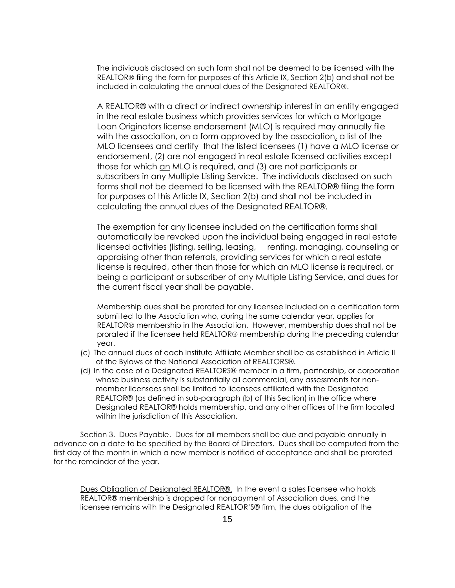The individuals disclosed on such form shall not be deemed to be licensed with the REALTOR® filing the form for purposes of this Article IX, Section 2(b) and shall not be included in calculating the annual dues of the Designated REALTOR®.

A REALTOR® with a direct or indirect ownership interest in an entity engaged in the real estate business which provides services for which a Mortgage Loan Originators license endorsement (MLO) is required may annually file with the association, on a form approved by the association, a list of the MLO licensees and certify that the listed licensees (1) have a MLO license or endorsement, (2) are not engaged in real estate licensed activities except those for which an MLO is required, and (3) are not participants or subscribers in any Multiple Listing Service. The individuals disclosed on such forms shall not be deemed to be licensed with the REALTOR® filing the form for purposes of this Article IX, Section 2(b) and shall not be included in calculating the annual dues of the Designated REALTOR®.

The exemption for any licensee included on the certification forms shall automatically be revoked upon the individual being engaged in real estate licensed activities (listing, selling, leasing, renting, managing, counseling or appraising other than referrals, providing services for which a real estate license is required, other than those for which an MLO license is required, or being a participant or subscriber of any Multiple Listing Service, and dues for the current fiscal year shall be payable.

Membership dues shall be prorated for any licensee included on a certification form submitted to the Association who, during the same calendar year, applies for REALTOR® membership in the Association. However, membership dues shall not be prorated if the licensee held REALTOR® membership during the preceding calendar year.

- (c) The annual dues of each Institute Affiliate Member shall be as established in Article II of the Bylaws of the National Association of REALTORS®.
- (d) In the case of a Designated REALTORS® member in a firm, partnership, or corporation whose business activity is substantially all commercial, any assessments for nonmember licensees shall be limited to licensees affiliated with the Designated REALTOR® (as defined in sub-paragraph (b) of this Section) in the office where Designated REALTOR® holds membership, and any other offices of the firm located within the jurisdiction of this Association.

Section 3. Dues Payable. Dues for all members shall be due and payable annually in advance on a date to be specified by the Board of Directors. Dues shall be computed from the first day of the month in which a new member is notified of acceptance and shall be prorated for the remainder of the year.

Dues Obligation of Designated REALTOR®. In the event a sales licensee who holds REALTOR® membership is dropped for nonpayment of Association dues, and the licensee remains with the Designated REALTOR'S® firm, the dues obligation of the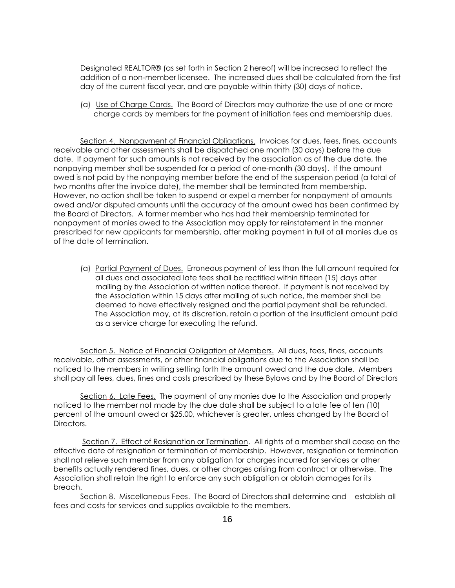Designated REALTOR® (as set forth in Section 2 hereof) will be increased to reflect the addition of a non-member licensee. The increased dues shall be calculated from the first day of the current fiscal year, and are payable within thirty (30) days of notice.

(a) Use of Charge Cards. The Board of Directors may authorize the use of one or more charge cards by members for the payment of initiation fees and membership dues.

Section 4. Nonpayment of Financial Obligations. Invoices for dues, fees, fines, accounts receivable and other assessments shall be dispatched one month (30 days) before the due date. If payment for such amounts is not received by the association as of the due date, the nonpaying member shall be suspended for a period of one-month (30 days). If the amount owed is not paid by the nonpaying member before the end of the suspension period (a total of two months after the invoice date), the member shall be terminated from membership. However, no action shall be taken to suspend or expel a member for nonpayment of amounts owed and/or disputed amounts until the accuracy of the amount owed has been confirmed by the Board of Directors. A former member who has had their membership terminated for nonpayment of monies owed to the Association may apply for reinstatement in the manner prescribed for new applicants for membership, after making payment in full of all monies due as of the date of termination.

(a) Partial Payment of Dues. Erroneous payment of less than the full amount required for all dues and associated late fees shall be rectified within fifteen (15) days after mailing by the Association of written notice thereof. If payment is not received by the Association within 15 days after mailing of such notice, the member shall be deemed to have effectively resigned and the partial payment shall be refunded. The Association may, at its discretion, retain a portion of the insufficient amount paid as a service charge for executing the refund.

Section 5. Notice of Financial Obligation of Members. All dues, fees, fines, accounts receivable, other assessments, or other financial obligations due to the Association shall be noticed to the members in writing setting forth the amount owed and the due date. Members shall pay all fees, dues, fines and costs prescribed by these Bylaws and by the Board of Directors

Section 6. Late Fees. The payment of any monies due to the Association and properly noticed to the member not made by the due date shall be subject to a late fee of ten (10) percent of the amount owed or \$25.00, whichever is greater, unless changed by the Board of Directors.

Section 7. Effect of Resignation or Termination. All rights of a member shall cease on the effective date of resignation or termination of membership. However, resignation or termination shall not relieve such member from any obligation for charges incurred for services or other benefits actually rendered fines, dues, or other charges arising from contract or otherwise. The Association shall retain the right to enforce any such obligation or obtain damages for its breach.

Section 8. Miscellaneous Fees. The Board of Directors shall determine and establish all fees and costs for services and supplies available to the members.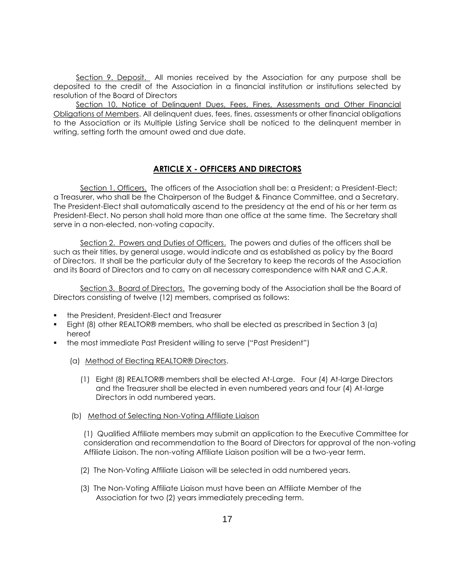Section 9. Deposit. All monies received by the Association for any purpose shall be deposited to the credit of the Association in a financial institution or institutions selected by resolution of the Board of Directors

Section 10. Notice of Delinquent Dues, Fees, Fines, Assessments and Other Financial Obligations of Members. All delinquent dues, fees, fines, assessments or other financial obligations to the Association or its Multiple Listing Service shall be noticed to the delinquent member in writing, setting forth the amount owed and due date.

# **ARTICLE X - OFFICERS AND DIRECTORS**

Section 1. Officers. The officers of the Association shall be: a President; a President-Elect; a Treasurer, who shall be the Chairperson of the Budget & Finance Committee, and a Secretary. The President-Elect shall automatically ascend to the presidency at the end of his or her term as President-Elect. No person shall hold more than one office at the same time. The Secretary shall serve in a non-elected, non-voting capacity.

Section 2. Powers and Duties of Officers. The powers and duties of the officers shall be such as their titles, by general usage, would indicate and as established as policy by the Board of Directors. It shall be the particular duty of the Secretary to keep the records of the Association and its Board of Directors and to carry on all necessary correspondence with NAR and C.A.R.

Section 3. Board of Directors. The governing body of the Association shall be the Board of Directors consisting of twelve (12) members, comprised as follows:

- the President, President-Elect and Treasurer
- Eight (8) other REALTOR® members, who shall be elected as prescribed in Section 3 (a) hereof
- the most immediate Past President willing to serve ("Past President")
	- (a) Method of Electing REALTOR® Directors.
		- (1) Eight (8) REALTOR® members shall be elected At-Large. Four (4) At-large Directors and the Treasurer shall be elected in even numbered years and four (4) At-large Directors in odd numbered years.
	- (b) Method of Selecting Non-Voting Affiliate Liaison

(1) Qualified Affiliate members may submit an application to the Executive Committee for consideration and recommendation to the Board of Directors for approval of the non-voting Affiliate Liaison. The non-voting Affiliate Liaison position will be a two-year term.

- (2) The Non-Voting Affiliate Liaison will be selected in odd numbered years.
- (3) The Non-Voting Affiliate Liaison must have been an Affiliate Member of the Association for two (2) years immediately preceding term.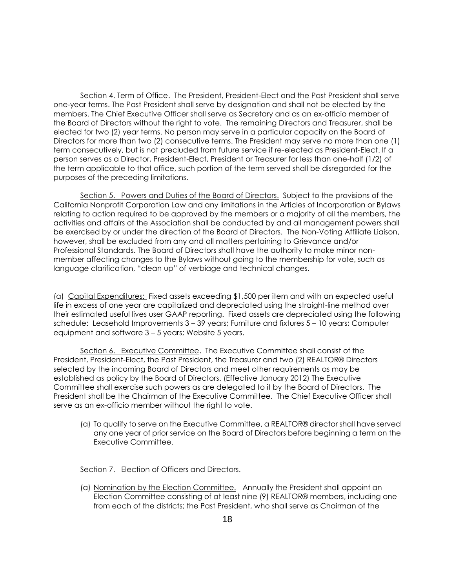Section 4. Term of Office. The President, President-Elect and the Past President shall serve one-year terms. The Past President shall serve by designation and shall not be elected by the members. The Chief Executive Officer shall serve as Secretary and as an ex-officio member of the Board of Directors without the right to vote. The remaining Directors and Treasurer, shall be elected for two (2) year terms. No person may serve in a particular capacity on the Board of Directors for more than two (2) consecutive terms. The President may serve no more than one (1) term consecutively, but is not precluded from future service if re-elected as President-Elect. If a person serves as a Director, President-Elect, President or Treasurer for less than one-half (1/2) of the term applicable to that office, such portion of the term served shall be disregarded for the purposes of the preceding limitations.

Section 5. Powers and Duties of the Board of Directors. Subject to the provisions of the California Nonprofit Corporation Law and any limitations in the Articles of Incorporation or Bylaws relating to action required to be approved by the members or a majority of all the members, the activities and affairs of the Association shall be conducted by and all management powers shall be exercised by or under the direction of the Board of Directors. The Non-Voting Affiliate Liaison, however, shall be excluded from any and all matters pertaining to Grievance and/or Professional Standards. The Board of Directors shall have the authority to make minor nonmember affecting changes to the Bylaws without going to the membership for vote, such as language clarification, "clean up" of verbiage and technical changes.

(a) Capital Expenditures: Fixed assets exceeding \$1,500 per item and with an expected useful life in excess of one year are capitalized and depreciated using the straight-line method over their estimated useful lives user GAAP reporting. Fixed assets are depreciated using the following schedule: Leasehold Improvements 3 – 39 years; Furniture and fixtures 5 – 10 years; Computer equipment and software 3 – 5 years; Website 5 years.

Section 6. Executive Committee. The Executive Committee shall consist of the President, President-Elect, the Past President, the Treasurer and two (2) REALTOR® Directors selected by the incoming Board of Directors and meet other requirements as may be established as policy by the Board of Directors. (Effective January 2012) The Executive Committee shall exercise such powers as are delegated to it by the Board of Directors. The President shall be the Chairman of the Executive Committee. The Chief Executive Officer shall serve as an ex-officio member without the right to vote.

(a) To qualify to serve on the Executive Committee, a REALTOR® director shall have served any one year of prior service on the Board of Directors before beginning a term on the Executive Committee.

Section 7. Election of Officers and Directors.

(a) Nomination by the Election Committee. Annually the President shall appoint an Election Committee consisting of at least nine (9) REALTOR® members, including one from each of the districts; the Past President, who shall serve as Chairman of the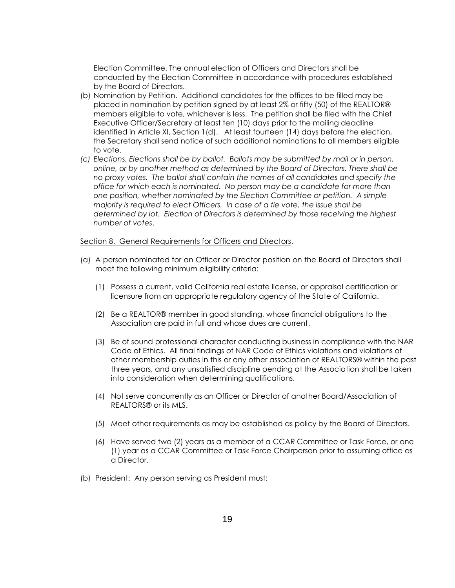Election Committee. The annual election of Officers and Directors shall be conducted by the Election Committee in accordance with procedures established by the Board of Directors.

- (b) Nomination by Petition. Additional candidates for the offices to be filled may be placed in nomination by petition signed by at least 2% or fifty (50) of the REALTOR® members eligible to vote, whichever is less. The petition shall be filed with the Chief Executive Officer/Secretary at least ten (10) days prior to the mailing deadline identified in Article XI, Section 1(d). At least fourteen (14) days before the election, the Secretary shall send notice of such additional nominations to all members eligible to vote.
- *(c) Elections. Elections shall be by ballot. Ballots may be submitted by mail or in person, online, or by another method as determined by the Board of Directors. There shall be no proxy votes. The ballot shall contain the names of all candidates and specify the office for which each is nominated. No person may be a candidate for more than one position, whether nominated by the Election Committee or petition. A simple majority is required to elect Officers. In case of a tie vote, the issue shall be determined by lot. Election of Directors is determined by those receiving the highest number of votes*.

#### Section 8. General Requirements for Officers and Directors.

- (a) A person nominated for an Officer or Director position on the Board of Directors shall meet the following minimum eligibility criteria:
	- (1) Possess a current, valid California real estate license, or appraisal certification or licensure from an appropriate regulatory agency of the State of California.
	- (2) Be a REALTOR® member in good standing, whose financial obligations to the Association are paid in full and whose dues are current.
	- (3) Be of sound professional character conducting business in compliance with the NAR Code of Ethics. All final findings of NAR Code of Ethics violations and violations of other membership duties in this or any other association of REALTORS® within the past three years, and any unsatisfied discipline pending at the Association shall be taken into consideration when determining qualifications.
	- (4) Not serve concurrently as an Officer or Director of another Board/Association of REALTORS® or its MLS.
	- (5) Meet other requirements as may be established as policy by the Board of Directors.
	- (6) Have served two (2) years as a member of a CCAR Committee or Task Force, or one (1) year as a CCAR Committee or Task Force Chairperson prior to assuming office as a Director.
- (b) President: Any person serving as President must: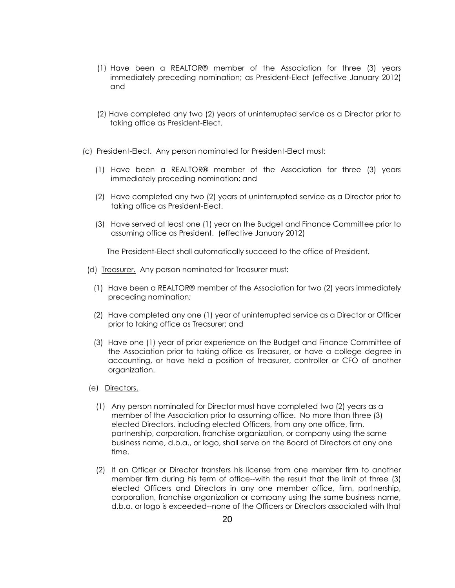- (1) Have been a REALTOR® member of the Association for three (3) years immediately preceding nomination; as President-Elect (effective January 2012) and
- (2) Have completed any two (2) years of uninterrupted service as a Director prior to taking office as President-Elect.
- (c) President-Elect. Any person nominated for President-Elect must:
	- (1) Have been a REALTOR® member of the Association for three (3) years immediately preceding nomination; and
	- (2) Have completed any two (2) years of uninterrupted service as a Director prior to taking office as President-Elect.
	- (3) Have served at least one (1) year on the Budget and Finance Committee prior to assuming office as President. (effective January 2012)

The President-Elect shall automatically succeed to the office of President.

- (d) Treasurer. Any person nominated for Treasurer must:
	- (1) Have been a REALTOR® member of the Association for two (2) years immediately preceding nomination;
	- (2) Have completed any one (1) year of uninterrupted service as a Director or Officer prior to taking office as Treasurer; and
	- (3) Have one (1) year of prior experience on the Budget and Finance Committee of the Association prior to taking office as Treasurer, or have a college degree in accounting, or have held a position of treasurer, controller or CFO of another organization.
- (e) Directors.
	- (1) Any person nominated for Director must have completed two (2) years as a member of the Association prior to assuming office. No more than three (3) elected Directors, including elected Officers, from any one office, firm, partnership, corporation, franchise organization, or company using the same business name, d.b.a., or logo, shall serve on the Board of Directors at any one time.
	- (2) If an Officer or Director transfers his license from one member firm to another member firm during his term of office--with the result that the limit of three (3) elected Officers and Directors in any one member office, firm, partnership, corporation, franchise organization or company using the same business name, d.b.a. or logo is exceeded--none of the Officers or Directors associated with that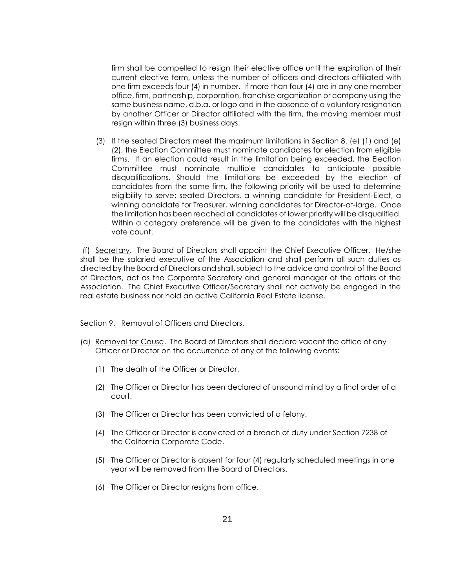firm shall be compelled to resign their elective office until the expiration of their current elective term, unless the number of officers and directors affiliated with one firm exceeds four (4) in number. If more than four (4) are in any one member office, firm, partnership, corporation, franchise organization or company using the same business name, d.b.a. or logo and in the absence of a voluntary resignation by another Officer or Director affiliated with the firm, the moving member must resign within three (3) business days.

(3) If the seated Directors meet the maximum limitations in Section 8. (e) (1) and (e) (2), the Election Committee must nominate candidates for election from eligible firms. If an election could result in the limitation being exceeded, the Election Committee must nominate multiple candidates to anticipate possible disqualifications. Should the limitations be exceeded by the election of candidates from the same firm, the following priority will be used to determine eligibility to serve: seated Directors, a winning candidate for President-Elect, a winning candidate for Treasurer, winning candidates for Director-at-large. Once the limitation has been reached all candidates of lower priority will be disqualified. Within a category preference will be given to the candidates with the highest vote count.

(f) Secretary. The Board of Directors shall appoint the Chief Executive Officer. He/she shall be the salaried executive of the Association and shall perform all such duties as directed by the Board of Directors and shall, subject to the advice and control of the Board of Directors, act as the Corporate Secretary and general manager of the affairs of the Association. The Chief Executive Officer/Secretary shall not actively be engaged in the real estate business nor hold an active California Real Estate license.

#### Section 9. Removal of Officers and Directors.

- (a) Removal for Cause. The Board of Directors shall declare vacant the office of any Officer or Director on the occurrence of any of the following events:
	- (1) The death of the Officer or Director.
	- (2) The Officer or Director has been declared of unsound mind by a final order of a court.
	- (3) The Officer or Director has been convicted of a felony.
	- (4) The Officer or Director is convicted of a breach of duty under Section 7238 of the California Corporate Code.
	- (5) The Officer or Director is absent for four (4) regularly scheduled meetings in one year will be removed from the Board of Directors.
	- (6) The Officer or Director resigns from office.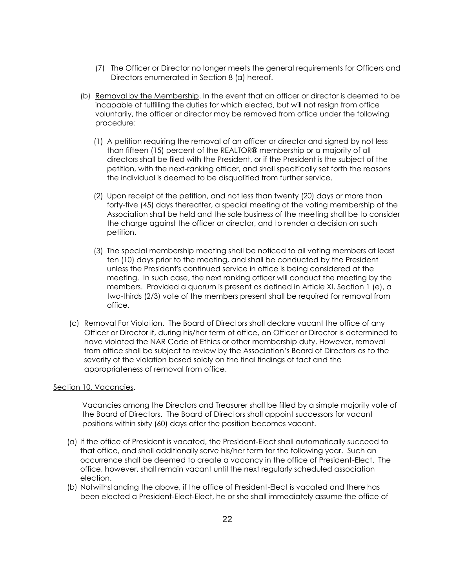- (7) The Officer or Director no longer meets the general requirements for Officers and Directors enumerated in Section 8 (a) hereof.
- (b) Removal by the Membership. In the event that an officer or director is deemed to be incapable of fulfilling the duties for which elected, but will not resign from office voluntarily, the officer or director may be removed from office under the following procedure:
	- (1) A petition requiring the removal of an officer or director and signed by not less than fifteen (15) percent of the REALTOR® membership or a majority of all directors shall be filed with the President, or if the President is the subject of the petition, with the next-ranking officer, and shall specifically set forth the reasons the individual is deemed to be disqualified from further service.
	- (2) Upon receipt of the petition, and not less than twenty (20) days or more than forty-five (45) days thereafter, a special meeting of the voting membership of the Association shall be held and the sole business of the meeting shall be to consider the charge against the officer or director, and to render a decision on such petition.
	- (3) The special membership meeting shall be noticed to all voting members at least ten (10) days prior to the meeting, and shall be conducted by the President unless the President's continued service in office is being considered at the meeting. In such case, the next ranking officer will conduct the meeting by the members. Provided a quorum is present as defined in Article XI, Section 1 (e), a two-thirds (2/3) vote of the members present shall be required for removal from office.
- (c) Removal For Violation. The Board of Directors shall declare vacant the office of any Officer or Director if, during his/her term of office, an Officer or Director is determined to have violated the NAR Code of Ethics or other membership duty. However, removal from office shall be subject to review by the Association's Board of Directors as to the severity of the violation based solely on the final findings of fact and the appropriateness of removal from office.

#### Section 10. Vacancies.

Vacancies among the Directors and Treasurer shall be filled by a simple majority vote of the Board of Directors. The Board of Directors shall appoint successors for vacant positions within sixty (60) days after the position becomes vacant.

- (a) If the office of President is vacated, the President-Elect shall automatically succeed to that office, and shall additionally serve his/her term for the following year. Such an occurrence shall be deemed to create a vacancy in the office of President-Elect. The office, however, shall remain vacant until the next regularly scheduled association election.
- (b) Notwithstanding the above, if the office of President-Elect is vacated and there has been elected a President-Elect-Elect, he or she shall immediately assume the office of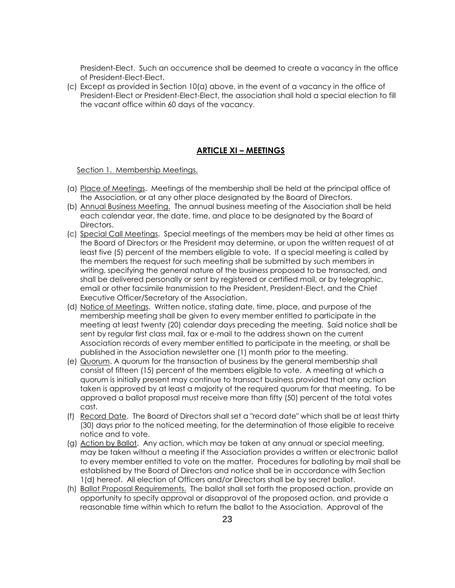President-Elect. Such an occurrence shall be deemed to create a vacancy in the office of President-Elect-Elect.

(c) Except as provided in Section 10(a) above, in the event of a vacancy in the office of President-Elect or President-Elect-Elect, the association shall hold a special election to fill the vacant office within 60 days of the vacancy.

# **ARTICLE XI – MEETINGS**

Section 1. Membership Meetings.

- (a) Place of Meetings. Meetings of the membership shall be held at the principal office of the Association, or at any other place designated by the Board of Directors.
- (b) Annual Business Meeting. The annual business meeting of the Association shall be held each calendar year, the date, time, and place to be designated by the Board of Directors.
- (c) Special Call Meetings. Special meetings of the members may be held at other times as the Board of Directors or the President may determine, or upon the written request of at least five (5) percent of the members eligible to vote. If a special meeting is called by the members the request for such meeting shall be submitted by such members in writing, specifying the general nature of the business proposed to be transacted, and shall be delivered personally or sent by registered or certified mail, or by telegraphic, email or other facsimile transmission to the President, President-Elect, and the Chief Executive Officer/Secretary of the Association.
- (d) Notice of Meetings. Written notice, stating date, time, place, and purpose of the membership meeting shall be given to every member entitled to participate in the meeting at least twenty (20) calendar days preceding the meeting. Said notice shall be sent by regular first class mail, fax or e-mail to the address shown on the current Association records of every member entitled to participate in the meeting, or shall be published in the Association newsletter one (1) month prior to the meeting.
- (e) Quorum. A quorum for the transaction of business by the general membership shall consist of fifteen (15) percent of the members eligible to vote. A meeting at which a quorum is initially present may continue to transact business provided that any action taken is approved by at least a majority of the required quorum for that meeting. To be approved a ballot proposal must receive more than fifty (50) percent of the total votes cast.
- (f) Record Date. The Board of Directors shall set a "record date" which shall be at least thirty (30) days prior to the noticed meeting, for the determination of those eligible to receive notice and to vote.
- (g) Action by Ballot. Any action, which may be taken at any annual or special meeting, may be taken without a meeting if the Association provides a written or electronic ballot to every member entitled to vote on the matter. Procedures for balloting by mail shall be established by the Board of Directors and notice shall be in accordance with Section 1(d) hereof. All election of Officers and/or Directors shall be by secret ballot.
- (h) Ballot Proposal Requirements. The ballot shall set forth the proposed action, provide an opportunity to specify approval or disapproval of the proposed action, and provide a reasonable time within which to return the ballot to the Association. Approval of the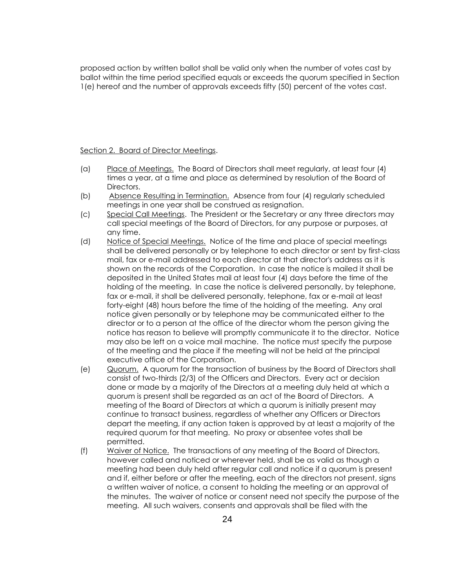proposed action by written ballot shall be valid only when the number of votes cast by ballot within the time period specified equals or exceeds the quorum specified in Section 1(e) hereof and the number of approvals exceeds fifty (50) percent of the votes cast.

#### Section 2. Board of Director Meetings.

- (a) Place of Meetings. The Board of Directors shall meet regularly, at least four (4) times a year, at a time and place as determined by resolution of the Board of Directors.
- (b) Absence Resulting in Termination. Absence from four (4) regularly scheduled meetings in one year shall be construed as resignation.
- (c) Special Call Meetings. The President or the Secretary or any three directors may call special meetings of the Board of Directors, for any purpose or purposes, at any time.
- (d) Notice of Special Meetings. Notice of the time and place of special meetings shall be delivered personally or by telephone to each director or sent by first-class mail, fax or e-mail addressed to each director at that director's address as it is shown on the records of the Corporation. In case the notice is mailed it shall be deposited in the United States mail at least four (4) days before the time of the holding of the meeting. In case the notice is delivered personally, by telephone, fax or e-mail, it shall be delivered personally, telephone, fax or e-mail at least forty-eight (48) hours before the time of the holding of the meeting. Any oral notice given personally or by telephone may be communicated either to the director or to a person at the office of the director whom the person giving the notice has reason to believe will promptly communicate it to the director. Notice may also be left on a voice mail machine. The notice must specify the purpose of the meeting and the place if the meeting will not be held at the principal executive office of the Corporation.
- (e) Quorum. A quorum for the transaction of business by the Board of Directors shall consist of two-thirds (2/3) of the Officers and Directors. Every act or decision done or made by a majority of the Directors at a meeting duly held at which a quorum is present shall be regarded as an act of the Board of Directors. A meeting of the Board of Directors at which a quorum is initially present may continue to transact business, regardless of whether any Officers or Directors depart the meeting, if any action taken is approved by at least a majority of the required quorum for that meeting. No proxy or absentee votes shall be permitted.
- (f) Waiver of Notice. The transactions of any meeting of the Board of Directors, however called and noticed or wherever held, shall be as valid as though a meeting had been duly held after regular call and notice if a quorum is present and if, either before or after the meeting, each of the directors not present, signs a written waiver of notice, a consent to holding the meeting or an approval of the minutes. The waiver of notice or consent need not specify the purpose of the meeting. All such waivers, consents and approvals shall be filed with the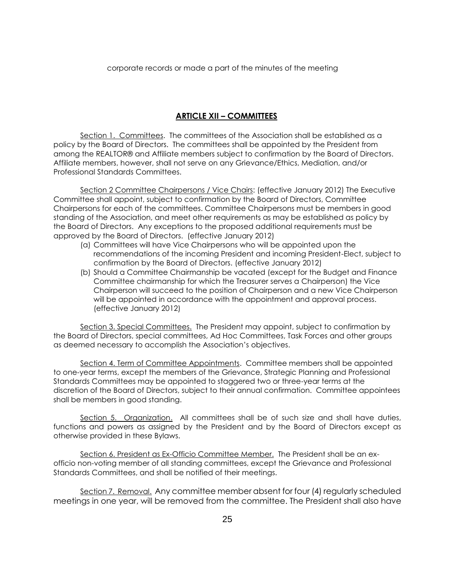corporate records or made a part of the minutes of the meeting

## **ARTICLE XII – COMMITTEES**

Section 1. Committees. The committees of the Association shall be established as a policy by the Board of Directors. The committees shall be appointed by the President from among the REALTOR® and Affiliate members subject to confirmation by the Board of Directors. Affiliate members, however, shall not serve on any Grievance/Ethics, Mediation, and/or Professional Standards Committees.

Section 2 Committee Chairpersons / Vice Chairs: (effective January 2012) The Executive Committee shall appoint, subject to confirmation by the Board of Directors, Committee Chairpersons for each of the committees. Committee Chairpersons must be members in good standing of the Association, and meet other requirements as may be established as policy by the Board of Directors. Any exceptions to the proposed additional requirements must be approved by the Board of Directors. (effective January 2012)

- (a) Committees will have Vice Chairpersons who will be appointed upon the recommendations of the incoming President and incoming President-Elect, subject to confirmation by the Board of Directors. (effective January 2012)
- (b) Should a Committee Chairmanship be vacated (except for the Budget and Finance Committee chairmanship for which the Treasurer serves a Chairperson) the Vice Chairperson will succeed to the position of Chairperson and a new Vice Chairperson will be appointed in accordance with the appointment and approval process. (effective January 2012)

Section 3. Special Committees. The President may appoint, subject to confirmation by the Board of Directors, special committees, Ad Hoc Committees, Task Forces and other groups as deemed necessary to accomplish the Association's objectives.

Section 4. Term of Committee Appointments. Committee members shall be appointed to one-year terms, except the members of the Grievance, Strategic Planning and Professional Standards Committees may be appointed to staggered two or three-year terms at the discretion of the Board of Directors, subject to their annual confirmation. Committee appointees shall be members in good standing.

Section 5. Organization. All committees shall be of such size and shall have duties, functions and powers as assigned by the President and by the Board of Directors except as otherwise provided in these Bylaws.

Section 6. President as Ex-Officio Committee Member. The President shall be an exofficio non-voting member of all standing committees, except the Grievance and Professional Standards Committees, and shall be notified of their meetings.

Section 7. Removal. Any committee member absent for four (4) regularly scheduled meetings in one year, will be removed from the committee. The President shall also have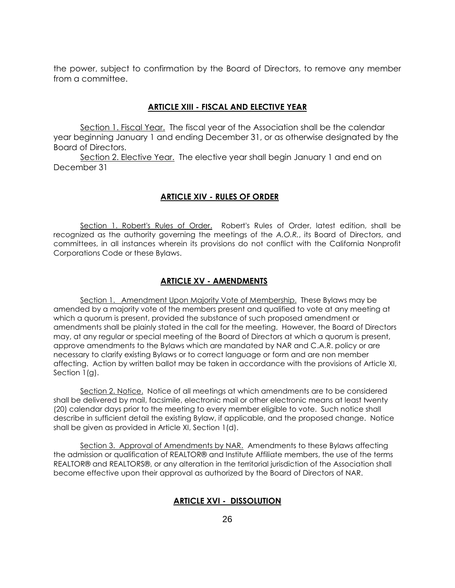the power, subject to confirmation by the Board of Directors, to remove any member from a committee.

### **ARTICLE XIII - FISCAL AND ELECTIVE YEAR**

Section 1. Fiscal Year. The fiscal year of the Association shall be the calendar year beginning January 1 and ending December 31, or as otherwise designated by the Board of Directors.

Section 2. Elective Year. The elective year shall begin January 1 and end on December 31

### **ARTICLE XIV - RULES OF ORDER**

Section 1. Robert's Rules of Order. Robert's Rules of Order, latest edition, shall be recognized as the authority governing the meetings of the *A.O.R.*, its Board of Directors, and committees, in all instances wherein its provisions do not conflict with the California Nonprofit Corporations Code or these Bylaws.

## **ARTICLE XV - AMENDMENTS**

Section 1. Amendment Upon Majority Vote of Membership. These Bylaws may be amended by a majority vote of the members present and qualified to vote at any meeting at which a quorum is present, provided the substance of such proposed amendment or amendments shall be plainly stated in the call for the meeting. However, the Board of Directors may, at any regular or special meeting of the Board of Directors at which a quorum is present, approve amendments to the Bylaws which are mandated by NAR and C.A.R. policy or are necessary to clarify existing Bylaws or to correct language or form and are non member affecting. Action by written ballot may be taken in accordance with the provisions of Article XI, Section 1(g).

Section 2. Notice. Notice of all meetings at which amendments are to be considered shall be delivered by mail, facsimile, electronic mail or other electronic means at least twenty (20) calendar days prior to the meeting to every member eligible to vote. Such notice shall describe in sufficient detail the existing Bylaw, if applicable, and the proposed change. Notice shall be given as provided in Article XI, Section 1(d).

Section 3. Approval of Amendments by NAR. Amendments to these Bylaws affecting the admission or qualification of REALTOR® and Institute Affiliate members, the use of the terms REALTOR® and REALTORS®, or any alteration in the territorial jurisdiction of the Association shall become effective upon their approval as authorized by the Board of Directors of NAR.

#### **ARTICLE XVI - DISSOLUTION**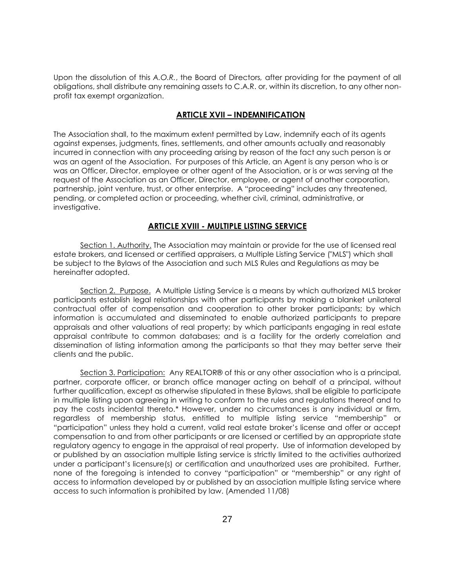Upon the dissolution of this *A.O.R.*, the Board of Directors*,* after providing for the payment of all obligations, shall distribute any remaining assets to C.A.R. or, within its discretion, to any other nonprofit tax exempt organization.

## **ARTICLE XVII – INDEMNIFICATION**

The Association shall, to the maximum extent permitted by Law, indemnify each of its agents against expenses, judgments, fines, settlements, and other amounts actually and reasonably incurred in connection with any proceeding arising by reason of the fact any such person is or was an agent of the Association. For purposes of this Article, an Agent is any person who is or was an Officer, Director, employee or other agent of the Association, or is or was serving at the request of the Association as an Officer, Director, employee, or agent of another corporation, partnership, joint venture, trust, or other enterprise. A "proceeding" includes any threatened, pending, or completed action or proceeding, whether civil, criminal, administrative, or investigative.

# **ARTICLE XVIII - MULTIPLE LISTING SERVICE**

Section 1. Authority. The Association may maintain or provide for the use of licensed real estate brokers, and licensed or certified appraisers, a Multiple Listing Service ("MLS") which shall be subject to the Bylaws of the Association and such MLS Rules and Regulations as may be hereinafter adopted.

Section 2. Purpose. A Multiple Listing Service is a means by which authorized MLS broker participants establish legal relationships with other participants by making a blanket unilateral contractual offer of compensation and cooperation to other broker participants; by which information is accumulated and disseminated to enable authorized participants to prepare appraisals and other valuations of real property; by which participants engaging in real estate appraisal contribute to common databases; and is a facility for the orderly correlation and dissemination of listing information among the participants so that they may better serve their clients and the public.

Section 3. Participation: Any REALTOR® of this or any other association who is a principal, partner, corporate officer, or branch office manager acting on behalf of a principal, without further qualification, except as otherwise stipulated in these Bylaws, shall be eligible to participate in multiple listing upon agreeing in writing to conform to the rules and regulations thereof and to pay the costs incidental thereto.\* However, under no circumstances is any individual or firm, regardless of membership status, entitled to multiple listing service "membership" or "participation" unless they hold a current, valid real estate broker's license and offer or accept compensation to and from other participants or are licensed or certified by an appropriate state regulatory agency to engage in the appraisal of real property. Use of information developed by or published by an association multiple listing service is strictly limited to the activities authorized under a participant's licensure(s) or certification and unauthorized uses are prohibited. Further, none of the foregoing is intended to convey "participation" or "membership" or any right of access to information developed by or published by an association multiple listing service where access to such information is prohibited by law. (Amended 11/08)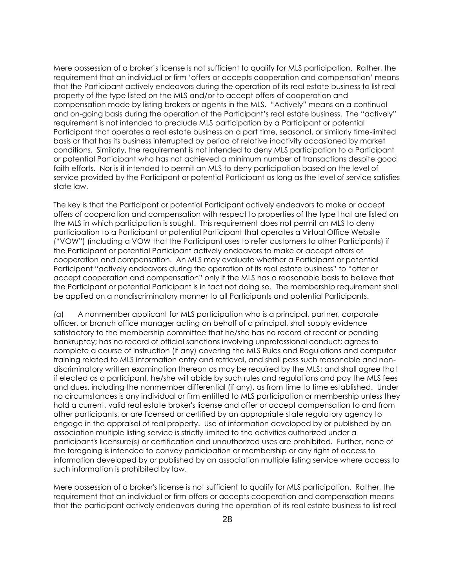Mere possession of a broker's license is not sufficient to qualify for MLS participation. Rather, the requirement that an individual or firm 'offers or accepts cooperation and compensation' means that the Participant actively endeavors during the operation of its real estate business to list real property of the type listed on the MLS and/or to accept offers of cooperation and compensation made by listing brokers or agents in the MLS. "Actively" means on a continual and on-going basis during the operation of the Participant's real estate business. The "actively" requirement is not intended to preclude MLS participation by a Participant or potential Participant that operates a real estate business on a part time, seasonal, or similarly time-limited basis or that has its business interrupted by period of relative inactivity occasioned by market conditions. Similarly, the requirement is not intended to deny MLS participation to a Participant or potential Participant who has not achieved a minimum number of transactions despite good faith efforts. Nor is it intended to permit an MLS to deny participation based on the level of service provided by the Participant or potential Participant as long as the level of service satisfies state law.

The key is that the Participant or potential Participant actively endeavors to make or accept offers of cooperation and compensation with respect to properties of the type that are listed on the MLS in which participation is sought. This requirement does not permit an MLS to deny participation to a Participant or potential Participant that operates a Virtual Office Website ("VOW") (including a VOW that the Participant uses to refer customers to other Participants) if the Participant or potential Participant actively endeavors to make or accept offers of cooperation and compensation. An MLS may evaluate whether a Participant or potential Participant "actively endeavors during the operation of its real estate business" to "offer or accept cooperation and compensation" only if the MLS has a reasonable basis to believe that the Participant or potential Participant is in fact not doing so. The membership requirement shall be applied on a nondiscriminatory manner to all Participants and potential Participants.

(a) A nonmember applicant for MLS participation who is a principal, partner, corporate officer, or branch office manager acting on behalf of a principal, shall supply evidence satisfactory to the membership committee that he/she has no record of recent or pending bankruptcy; has no record of official sanctions involving unprofessional conduct; agrees to complete a course of instruction (if any) covering the MLS Rules and Regulations and computer training related to MLS information entry and retrieval, and shall pass such reasonable and nondiscriminatory written examination thereon as may be required by the MLS; and shall agree that if elected as a participant, he/she will abide by such rules and regulations and pay the MLS fees and dues, including the nonmember differential (if any), as from time to time established. Under no circumstances is any individual or firm entitled to MLS participation or membership unless they hold a current, valid real estate broker's license and offer or accept compensation to and from other participants, or are licensed or certified by an appropriate state regulatory agency to engage in the appraisal of real property. Use of information developed by or published by an association multiple listing service is strictly limited to the activities authorized under a participant's licensure(s) or certification and unauthorized uses are prohibited. Further, none of the foregoing is intended to convey participation or membership or any right of access to information developed by or published by an association multiple listing service where access to such information is prohibited by law.

Mere possession of a broker's license is not sufficient to qualify for MLS participation. Rather, the requirement that an individual or firm offers or accepts cooperation and compensation means that the participant actively endeavors during the operation of its real estate business to list real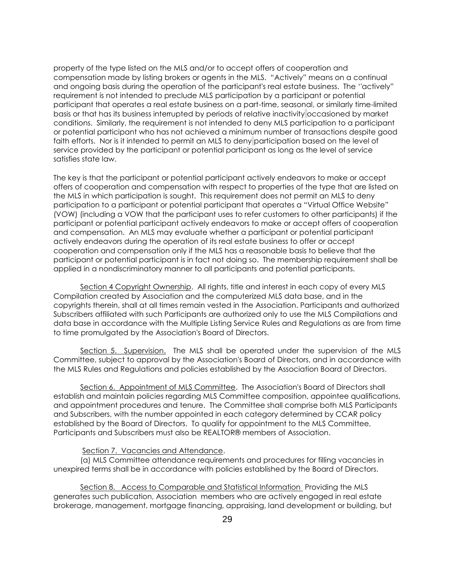property of the type listed on the MLS and/or to accept offers of cooperation and compensation made by listing brokers or agents in the MLS. "Actively" means on a continual and ongoing basis during the operation of the participant's real estate business. The ''actively" requirement is not intended to preclude MLS participation by a participant or potential participant that operates a real estate business on a part-time, seasonal, or similarly time-limited basis or that has its business interrupted by periods of relative inactivity occasioned by market conditions. Similarly, the requirement is not intended to deny MLS participation to a participant or potential participant who has not achieved a minimum number of transactions despite good faith efforts. Nor is it intended to permit an MLS to deny participation based on the level of service provided by the participant or potential participant as long as the level of service satisfies state law.

The key is that the participant or potential participant actively endeavors to make or accept offers of cooperation and compensation with respect to properties of the type that are listed on the MLS in which participation is sought. This requirement does not permit an MLS to deny participation to a participant or potential participant that operates a "Virtual Office Website" (VOW) (including a VOW that the participant uses to refer customers to other participants) if the participant or potential participant actively endeavors to make or accept offers of cooperation and compensation. An MLS may evaluate whether a participant or potential participant actively endeavors during the operation of its real estate business to offer or accept cooperation and compensation only if the MLS has a reasonable basis to believe that the participant or potential participant is in fact not doing so. The membership requirement shall be applied in a nondiscriminatory manner to all participants and potential participants.

Section 4 Copyright Ownership. All rights, title and interest in each copy of every MLS Compilation created by Association and the computerized MLS data base, and in the copyrights therein, shall at all times remain vested in the Association. Participants and authorized Subscribers affiliated with such Participants are authorized only to use the MLS Compilations and data base in accordance with the Multiple Listing Service Rules and Regulations as are from time to time promulgated by the Association's Board of Directors.

Section 5. Supervision. The MLS shall be operated under the supervision of the MLS Committee, subject to approval by the Association's Board of Directors, and in accordance with the MLS Rules and Regulations and policies established by the Association Board of Directors.

Section 6. Appointment of MLS Committee. The Association's Board of Directors shall establish and maintain policies regarding MLS Committee composition, appointee qualifications, and appointment procedures and tenure. The Committee shall comprise both MLS Participants and Subscribers, with the number appointed in each category determined by CCAR policy established by the Board of Directors. To qualify for appointment to the MLS Committee, Participants and Subscribers must also be REALTOR® members of Association.

#### Section 7. Vacancies and Attendance.

(a) MLS Committee attendance requirements and procedures for filling vacancies in unexpired terms shall be in accordance with policies established by the Board of Directors.

Section 8. Access to Comparable and Statistical Information Providing the MLS generates such publication, Association members who are actively engaged in real estate brokerage, management, mortgage financing, appraising, land development or building, but